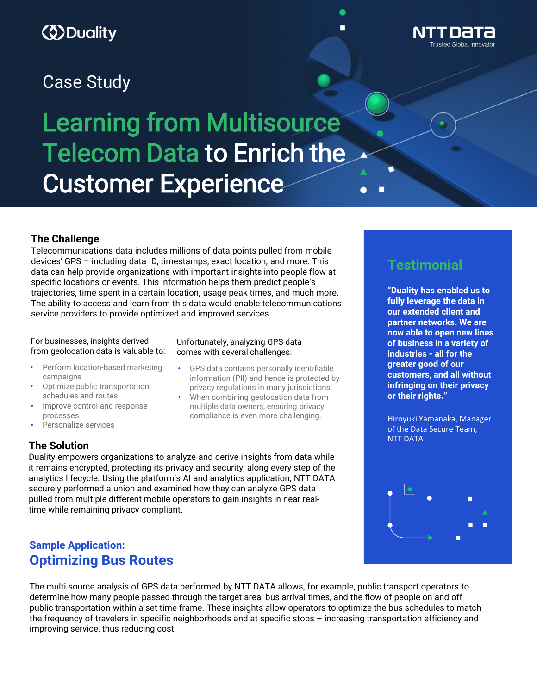# *ED* Duality

## Case Study

# Learning from Multisource Telecom Data to Enrich the Customer Experience

### **The Challenge**

Telecommunications data includes millions of data points pulled from mobile devices' GPS – including data ID, timestamps, exact location, and more. This data can help provide organizations with important insights into people flow at specific locations or events. This information helps them predict people's trajectories, time spent in a certain location, usage peak times, and much more. The ability to access and learn from this data would enable telecommunications service providers to provide optimized and improved services.

#### For businesses, insights derived from geolocation data is valuable to:

- Perform location-based marketing campaigns
- Optimize public transportation schedules and routes
- Improve control and response processes
- Personalize services

### **The Solution**

Unfortunately, analyzing GPS data comes with several challenges:

- GPS data contains personally identifiable information (PII) and hence is protected by privacy regulations in many jurisdictions.
- When combining geolocation data from multiple data owners, ensuring privacy compliance is even more challenging.

Duality empowers organizations to analyze and derive insights from data while it remains encrypted, protecting its privacy and security, along every step of the analytics lifecycle. Using the platform's AI and analytics application, NTT DATA securely performed a union and examined how they can analyze GPS data pulled from multiple different mobile operators to gain insights in near realtime while remaining privacy compliant.

## **Sample Application: Optimizing Bus Routes**

The multi source analysis of GPS data performed by NTT DATA allows, for example, public transport operators to determine how many people passed through the target area, bus arrival times, and the flow of people on and off public transportation within a set time frame. These insights allow operators to optimize the bus schedules to match the frequency of travelers in specific neighborhoods and at specific stops – increasing transportation efficiency and improving service, thus reducing cost.

## **Testimonial**

**"Duality has enabled us to fully leverage the data in our extended client and partner networks. We are now able to open new lines of business in a variety of industries - all for the greater good of our customers, and all without infringing on their privacy or their rights."**

Hiroyuki Yamanaka, Manager of the Data Secure Team, NTT DATA